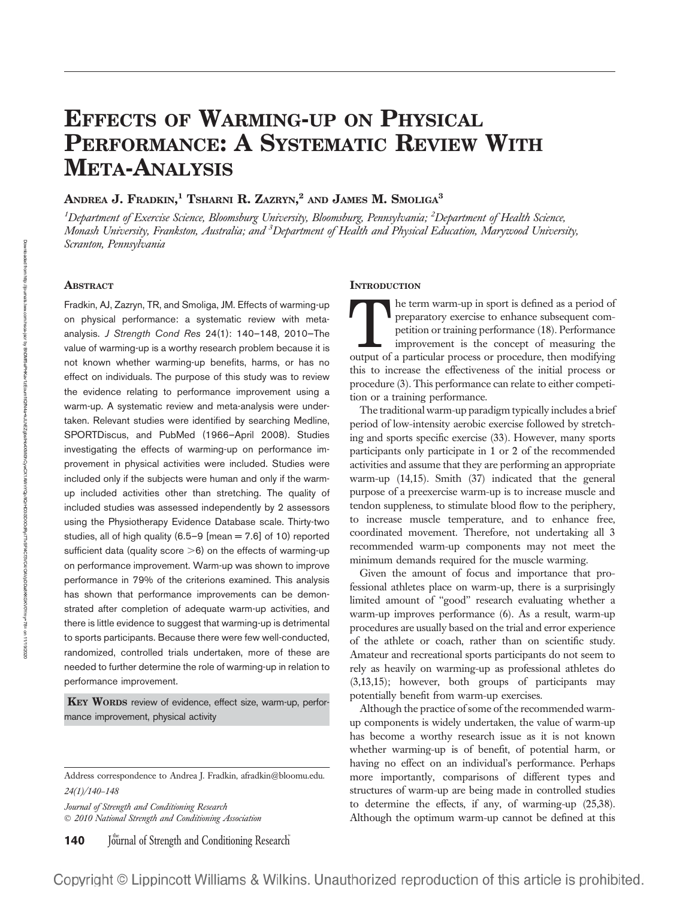# EFFECTS OF WARMING-UP ON PHYSICAL PERFORMANCE: A SYSTEMATIC REVIEW WITH META-ANALYSIS

# Andrea J. Fradkin, $^1$  Tsharni R. Zazryn, $^2$  and James M. Smoliga $^3$

 $^{\text{\tiny 1}}$ Department of Exercise Science, Bloomsburg University, Bloomsburg, Pennsylvania;  $^{\text{\tiny 2}}$ Department of Health Science, Monash University, Frankston, Australia; and <sup>3</sup>Department of Health and Physical Education, Marywood University, Scranton, Pennsylvania

# **ABSTRACT**

Fradkin, AJ, Zazryn, TR, and Smoliga, JM. Effects of warming-up on physical performance: a systematic review with metaanalysis. J Strength Cond Res 24(1): 140–148, 2010—The value of warming-up is a worthy research problem because it is not known whether warming-up benefits, harms, or has no effect on individuals. The purpose of this study was to review the evidence relating to performance improvement using a warm-up. A systematic review and meta-analysis were undertaken. Relevant studies were identified by searching Medline, SPORTDiscus, and PubMed (1966–April 2008). Studies investigating the effects of warming-up on performance improvement in physical activities were included. Studies were included only if the subjects were human and only if the warmup included activities other than stretching. The quality of included studies was assessed independently by 2 assessors using the Physiotherapy Evidence Database scale. Thirty-two studies, all of high quality (6.5–9 [mean = 7.6] of 10) reported sufficient data (quality score  $>6$ ) on the effects of warming-up on performance improvement. Warm-up was shown to improve performance in 79% of the criterions examined. This analysis has shown that performance improvements can be demonstrated after completion of adequate warm-up activities, and there is little evidence to suggest that warming-up is detrimental to sports participants. Because there were few well-conducted, randomized, controlled trials undertaken, more of these are needed to further determine the role of warming-up in relation to performance improvement.

KEY WORDS review of evidence, effect size, warm-up, performance improvement, physical activity

Address correspondence to Andrea J. Fradkin, afradkin@bloomu.edu. 24(1)/140–148

Journal of Strength and Conditioning Research 2010 National Strength and Conditioning Association

**140** Journal of Strength and Conditioning Research

#### **INTRODUCTION**

**The term warm-up in sport is defined as a period of** preparatory exercise to enhance subsequent competition or training performance (18). Performance improvement is the concept of measuring the output of a particular proc preparatory exercise to enhance subsequent competition or training performance (18). Performance improvement is the concept of measuring the this to increase the effectiveness of the initial process or procedure (3). This performance can relate to either competition or a training performance.

The traditional warm-up paradigm typically includes a brief period of low-intensity aerobic exercise followed by stretching and sports specific exercise (33). However, many sports participants only participate in 1 or 2 of the recommended activities and assume that they are performing an appropriate warm-up (14,15). Smith (37) indicated that the general purpose of a preexercise warm-up is to increase muscle and tendon suppleness, to stimulate blood flow to the periphery, to increase muscle temperature, and to enhance free, coordinated movement. Therefore, not undertaking all 3 recommended warm-up components may not meet the minimum demands required for the muscle warming.

Given the amount of focus and importance that professional athletes place on warm-up, there is a surprisingly limited amount of ''good'' research evaluating whether a warm-up improves performance (6). As a result, warm-up procedures are usually based on the trial and error experience of the athlete or coach, rather than on scientific study. Amateur and recreational sports participants do not seem to rely as heavily on warming-up as professional athletes do (3,13,15); however, both groups of participants may potentially benefit from warm-up exercises.

Although the practice of some of the recommended warmup components is widely undertaken, the value of warm-up has become a worthy research issue as it is not known whether warming-up is of benefit, of potential harm, or having no effect on an individual's performance. Perhaps more importantly, comparisons of different types and structures of warm-up are being made in controlled studies to determine the effects, if any, of warming-up (25,38). Although the optimum warm-up cannot be defined at this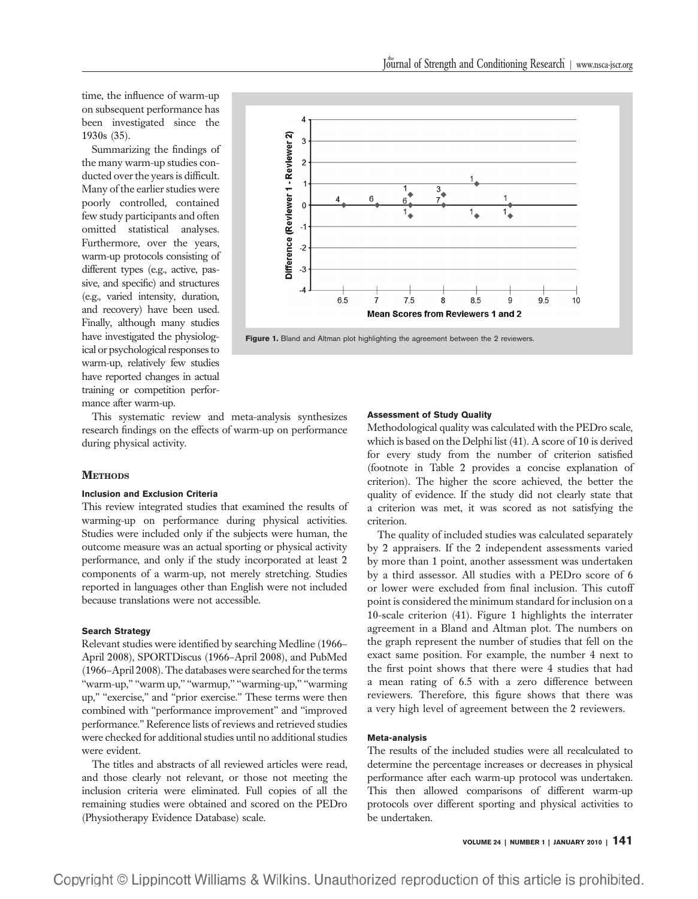time, the influence of warm-up on subsequent performance has been investigated since the 1930s (35).

Summarizing the findings of the many warm-up studies conducted over the years is difficult. Many of the earlier studies were poorly controlled, contained few study participants and often omitted statistical analyses. Furthermore, over the years, warm-up protocols consisting of different types (e.g., active, passive, and specific) and structures (e.g., varied intensity, duration, and recovery) have been used. Finally, although many studies have investigated the physiological or psychological responses to warm-up, relatively few studies have reported changes in actual training or competition performance after warm-up.



Figure 1. Bland and Altman plot highlighting the agreement between the 2 reviewers.

This systematic review and meta-analysis synthesizes research findings on the effects of warm-up on performance during physical activity.

#### **METHODS**

## Inclusion and Exclusion Criteria

This review integrated studies that examined the results of warming-up on performance during physical activities. Studies were included only if the subjects were human, the outcome measure was an actual sporting or physical activity performance, and only if the study incorporated at least 2 components of a warm-up, not merely stretching. Studies reported in languages other than English were not included because translations were not accessible.

#### Search Strategy

Relevant studies were identified by searching Medline (1966– April 2008), SPORTDiscus (1966–April 2008), and PubMed (1966–April 2008). The databases were searched for the terms "warm-up," "warm up," "warmup," "warming-up," "warming up," "exercise," and "prior exercise." These terms were then combined with ''performance improvement'' and ''improved performance.'' Reference lists of reviews and retrieved studies were checked for additional studies until no additional studies were evident.

The titles and abstracts of all reviewed articles were read, and those clearly not relevant, or those not meeting the inclusion criteria were eliminated. Full copies of all the remaining studies were obtained and scored on the PEDro (Physiotherapy Evidence Database) scale.

#### Assessment of Study Quality

Methodological quality was calculated with the PEDro scale, which is based on the Delphi list (41). A score of 10 is derived for every study from the number of criterion satisfied (footnote in Table 2 provides a concise explanation of criterion). The higher the score achieved, the better the quality of evidence. If the study did not clearly state that a criterion was met, it was scored as not satisfying the criterion.

The quality of included studies was calculated separately by 2 appraisers. If the 2 independent assessments varied by more than 1 point, another assessment was undertaken by a third assessor. All studies with a PEDro score of 6 or lower were excluded from final inclusion. This cutoff point is considered the minimum standard for inclusion on a 10-scale criterion (41). Figure 1 highlights the interrater agreement in a Bland and Altman plot. The numbers on the graph represent the number of studies that fell on the exact same position. For example, the number 4 next to the first point shows that there were 4 studies that had a mean rating of 6.5 with a zero difference between reviewers. Therefore, this figure shows that there was a very high level of agreement between the 2 reviewers.

#### Meta-analysis

The results of the included studies were all recalculated to determine the percentage increases or decreases in physical performance after each warm-up protocol was undertaken. This then allowed comparisons of different warm-up protocols over different sporting and physical activities to be undertaken.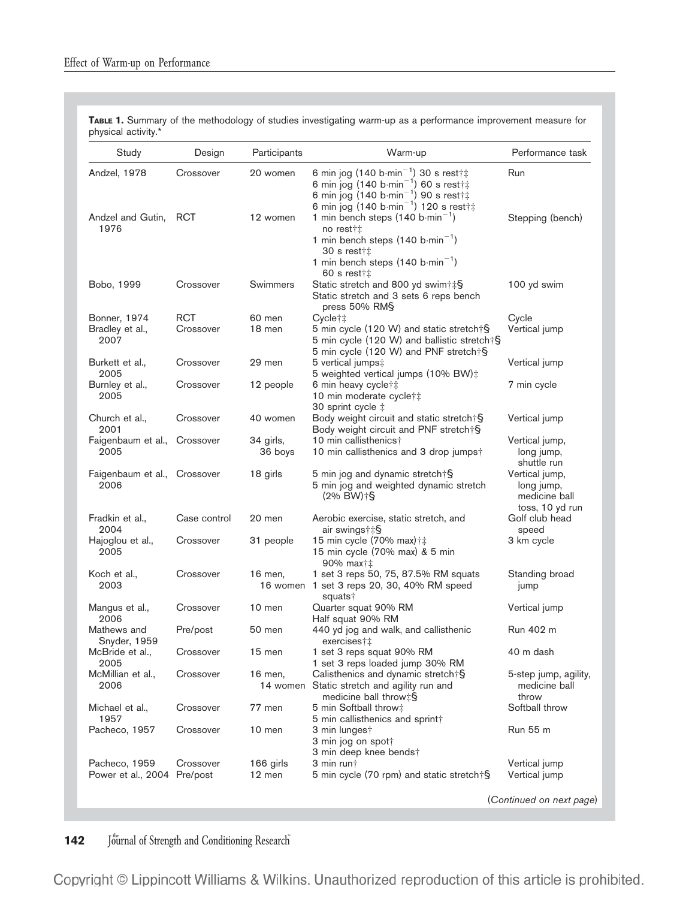TABLE 1. Summary of the methodology of studies investigating warm-up as a performance improvement measure for physical activity.\*

| Study                                        | Design       | Participants         | Warm-up                                                                                                                                                                                                  | Performance task                                                 |  |  |
|----------------------------------------------|--------------|----------------------|----------------------------------------------------------------------------------------------------------------------------------------------------------------------------------------------------------|------------------------------------------------------------------|--|--|
| Andzel, 1978                                 | Crossover    | 20 women             | 6 min jog (140 b·min <sup>-1</sup> ) 30 s rest† $\ddagger$<br>6 min jog (140 b·min <sup>-1</sup> ) 60 s rest† $\ddagger$<br>6 min jog (140 b·min <sup>-1</sup> ) 90 s rest† $\ddagger$                   | Run                                                              |  |  |
| Andzel and Gutin,<br>1976                    | <b>RCT</b>   | 12 women             | 6 min $log(140 b·min^{-1}) 120 s rest$ ;<br>1 min bench steps $(140 b·min^{-1})$<br>no rest†‡<br>1 min bench steps $(140 b·min^{-1})$<br>$30$ s rest† $\ddagger$<br>1 min bench steps $(140 b·min^{-1})$ | Stepping (bench)                                                 |  |  |
| Bobo, 1999                                   | Crossover    | Swimmers             | 60 s rest $\uparrow\updownarrow$<br>Static stretch and 800 yd swim†‡§<br>Static stretch and 3 sets 6 reps bench<br>press 50% RMS                                                                         | 100 yd swim                                                      |  |  |
| <b>Bonner, 1974</b>                          | <b>RCT</b>   | 60 men               | Cycle†‡                                                                                                                                                                                                  | Cycle                                                            |  |  |
| Bradley et al.,<br>2007                      | Crossover    | 18 men               | 5 min cycle (120 W) and static stretch†§<br>5 min cycle (120 W) and ballistic stretch†§<br>5 min cycle (120 W) and PNF stretch†§                                                                         | Vertical jump                                                    |  |  |
| Burkett et al.,<br>2005                      | Crossover    | 29 men               | 5 vertical jumps‡<br>5 weighted vertical jumps (10% BW):                                                                                                                                                 | Vertical jump                                                    |  |  |
| Burnley et al.,<br>2005                      | Crossover    | 12 people            | 6 min heavy cycle†‡<br>10 min moderate cycle†‡<br>30 sprint cycle $\ddagger$                                                                                                                             | 7 min cycle                                                      |  |  |
| Church et al.,<br>2001                       | Crossover    | 40 women             | Body weight circuit and static stretch†§<br>Body weight circuit and PNF stretch†§                                                                                                                        | Vertical jump                                                    |  |  |
| Faigenbaum et al., Crossover<br>2005         |              | 34 girls,<br>36 boys | 10 min callisthenics†<br>10 min callisthenics and 3 drop jumps†                                                                                                                                          | Vertical jump,<br>long jump,<br>shuttle run                      |  |  |
| Faigenbaum et al., Crossover<br>2006         |              | 18 girls             | 5 min jog and dynamic stretch†§<br>5 min jog and weighted dynamic stretch<br>$(2\%$ BW) $\dagger$ §                                                                                                      | Vertical jump,<br>long jump,<br>medicine ball<br>toss, 10 yd run |  |  |
| Fradkin et al.,<br>2004                      | Case control | 20 men               | Aerobic exercise, static stretch, and<br>air swings†‡§                                                                                                                                                   | Golf club head<br>speed                                          |  |  |
| Hajoglou et al.,<br>2005                     | Crossover    | 31 people            | 15 min cycle (70% max)†‡<br>15 min cycle (70% max) & 5 min<br>90% max†‡                                                                                                                                  | 3 km cycle                                                       |  |  |
| Koch et al.,<br>2003                         | Crossover    | 16 men,              | 1 set 3 reps 50, 75, 87.5% RM squats<br>16 women 1 set 3 reps 20, 30, 40% RM speed<br>squats†                                                                                                            | Standing broad<br>jump                                           |  |  |
| Mangus et al.,<br>2006                       | Crossover    | 10 men               | Quarter squat 90% RM<br>Half squat 90% RM                                                                                                                                                                | Vertical jump                                                    |  |  |
| Mathews and<br>Snyder, 1959                  | Pre/post     | 50 men               | 440 yd jog and walk, and callisthenic<br>exercises†‡                                                                                                                                                     | Run 402 m                                                        |  |  |
| McBride et al.,<br>2005                      | Crossover    | 15 men               | 1 set 3 reps squat 90% RM<br>1 set 3 reps loaded jump 30% RM                                                                                                                                             | 40 m dash                                                        |  |  |
| McMillian et al.,<br>2006                    | Crossover    | 16 men,              | Calisthenics and dynamic stretch†§<br>14 women Static stretch and agility run and<br>medicine ball throw: §                                                                                              | 5-step jump, agility,<br>medicine ball<br>throw                  |  |  |
| Michael et al.,<br>1957                      | Crossover    | 77 men               | 5 min Softball throw#<br>5 min callisthenics and sprint†                                                                                                                                                 | Softball throw                                                   |  |  |
| Pacheco, 1957                                | Crossover    | 10 men               | 3 min lunges†<br>3 min jog on spot†<br>3 min deep knee bends†                                                                                                                                            | <b>Run 55 m</b>                                                  |  |  |
| Pacheco, 1959<br>Power et al., 2004 Pre/post | Crossover    | 166 girls<br>12 men  | 3 min run†<br>5 min cycle (70 rpm) and static stretch†§                                                                                                                                                  | Vertical jump<br>Vertical jump                                   |  |  |
|                                              |              |                      |                                                                                                                                                                                                          | (Continued on next page)                                         |  |  |

142 Journal of Strength and Conditioning Research

Copyright © Lippincott Williams & Wilkins. Unauthorized reproduction of this article is prohibited.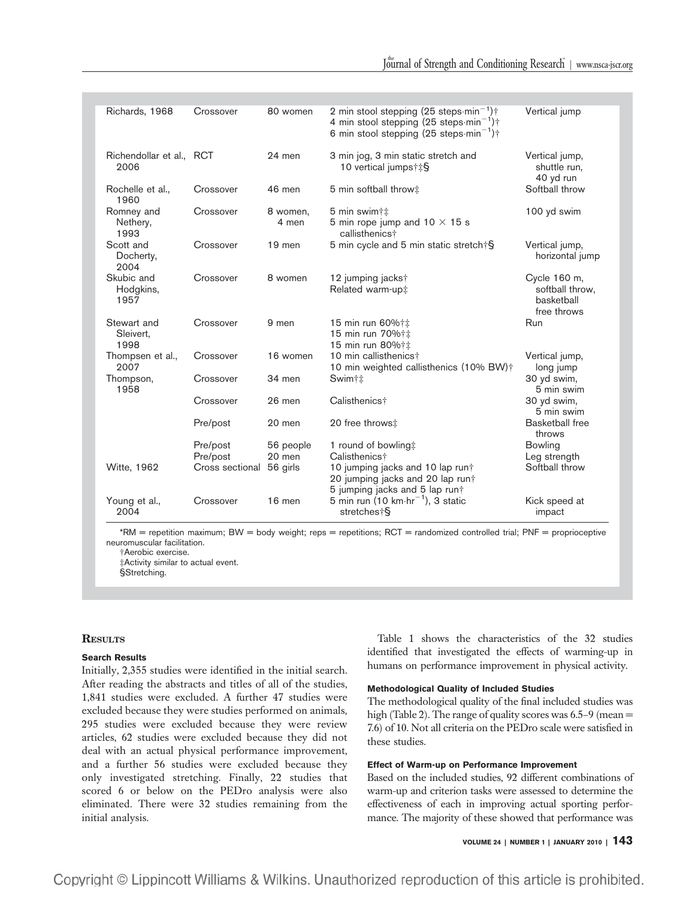| Richards, 1968                   | Crossover       | 80 women          | 2 min stool stepping (25 steps min <sup>-1</sup> ) <sup>†</sup><br>4 min stool stepping $(25 \text{ steps} \cdot \text{min}^{-1})$<br>6 min stool stepping $(25 \text{ steps min}^{-1})$ † | Vertical jump                                                |
|----------------------------------|-----------------|-------------------|--------------------------------------------------------------------------------------------------------------------------------------------------------------------------------------------|--------------------------------------------------------------|
| Richendollar et al., RCT<br>2006 |                 | 24 men            | 3 min jog, 3 min static stretch and<br>10 vertical jumps + \$                                                                                                                              | Vertical jump,<br>shuttle run,<br>40 yd run                  |
| Rochelle et al.,<br>1960         | Crossover       | 46 men            | 5 min softball throw:                                                                                                                                                                      | Softball throw                                               |
| Romney and<br>Nethery,<br>1993   | Crossover       | 8 women,<br>4 men | 5 min swim†‡<br>5 min rope jump and $10 \times 15$ s<br>callisthenics <sup>+</sup>                                                                                                         | 100 yd swim                                                  |
| Scott and<br>Docherty,<br>2004   | Crossover       | $19$ men          | 5 min cycle and 5 min static stretch†§                                                                                                                                                     | Vertical jump,<br>horizontal jump                            |
| Skubic and<br>Hodgkins,<br>1957  | Crossover       | 8 women           | 12 jumping jacks†<br>Related warm-up‡                                                                                                                                                      | Cycle 160 m,<br>softball throw.<br>basketball<br>free throws |
| Stewart and<br>Sleivert,<br>1998 | Crossover       | 9 men             | 15 min run 60%†‡<br>15 min run 70%†‡<br>15 min run 80%+±                                                                                                                                   | Run                                                          |
| Thompsen et al.,<br>2007         | Crossover       | 16 women          | 10 min callisthenics <sup>†</sup><br>10 min weighted callisthenics (10% BW);                                                                                                               | Vertical jump,<br>long jump                                  |
| Thompson,<br>1958                | Crossover       | 34 men            | Swim†‡                                                                                                                                                                                     | 30 yd swim,<br>5 min swim                                    |
|                                  | Crossover       | $26$ men          | Calisthenics <sup>†</sup>                                                                                                                                                                  | 30 yd swim,<br>5 min swim                                    |
|                                  | Pre/post        | 20 men            | 20 free throws:                                                                                                                                                                            | <b>Basketball</b> free<br>throws                             |
|                                  | Pre/post        | 56 people         | 1 round of bowling‡                                                                                                                                                                        | <b>Bowling</b>                                               |
|                                  | Pre/post        | 20 men            | Calisthenics <sup>+</sup>                                                                                                                                                                  | Leg strength                                                 |
| <b>Witte, 1962</b>               | Cross sectional | 56 girls          | 10 jumping jacks and 10 lap run†<br>20 jumping jacks and 20 lap run†<br>5 jumping jacks and 5 lap run†                                                                                     | Softball throw                                               |
| Young et al.,<br>2004            | Crossover       | $16$ men          | 5 min run (10 km $\cdot$ hr $^{-1}$ ), 3 static<br>stretches†§                                                                                                                             | Kick speed at<br>impact                                      |

\*RM = repetition maximum; BW = body weight; reps = repetitions; RCT = randomized controlled trial; PNF = proprioceptive neuromuscular facilitation.

†Aerobic exercise.

‡Activity similar to actual event.

§Stretching.

## **RESULTS**

## Search Results

Initially, 2,355 studies were identified in the initial search. After reading the abstracts and titles of all of the studies, 1,841 studies were excluded. A further 47 studies were excluded because they were studies performed on animals, 295 studies were excluded because they were review articles, 62 studies were excluded because they did not deal with an actual physical performance improvement, and a further 56 studies were excluded because they only investigated stretching. Finally, 22 studies that scored 6 or below on the PEDro analysis were also eliminated. There were 32 studies remaining from the initial analysis.

Table 1 shows the characteristics of the 32 studies identified that investigated the effects of warming-up in humans on performance improvement in physical activity.

#### Methodological Quality of Included Studies

The methodological quality of the final included studies was high (Table 2). The range of quality scores was 6.5–9 (mean = 7.6) of 10. Not all criteria on the PEDro scale were satisfied in these studies.

#### Effect of Warm-up on Performance Improvement

Based on the included studies, 92 different combinations of warm-up and criterion tasks were assessed to determine the effectiveness of each in improving actual sporting performance. The majority of these showed that performance was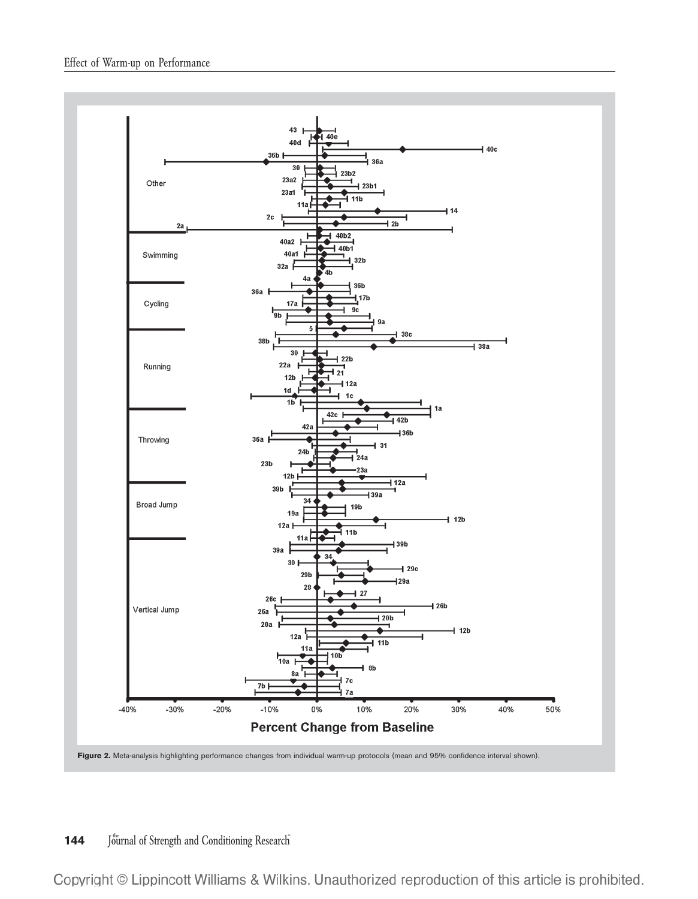

# **144** Journal of Strength and Conditioning Research

Copyright © Lippincott Williams & Wilkins. Unauthorized reproduction of this article is prohibited.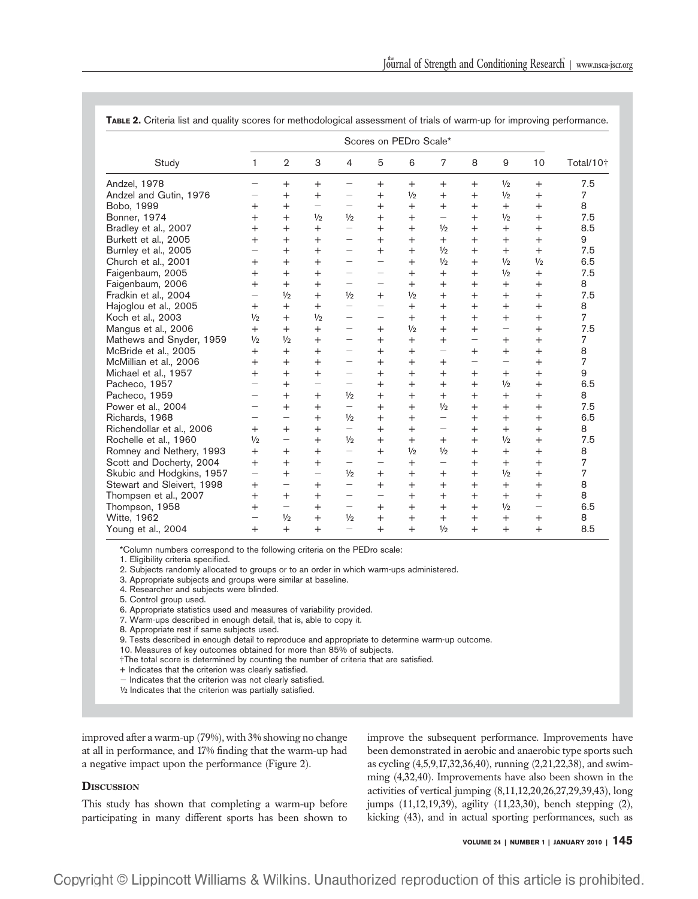|                            | Scores on PEDro Scale* |                |                          |                          |                          |     |                          |                          |                          |           |                       |
|----------------------------|------------------------|----------------|--------------------------|--------------------------|--------------------------|-----|--------------------------|--------------------------|--------------------------|-----------|-----------------------|
| Study                      | $\mathbf{1}$           | $\overline{2}$ | 3                        | $\overline{4}$           | 5                        | 6   | 7                        | 8                        | 9                        | 10        | Total/10 <sup>+</sup> |
| Andzel, 1978               |                        | $+$            | $+$                      | $\overline{\phantom{0}}$ | $+$                      | $+$ | $\ddot{}$                | $\ddot{}$                | 1/2                      | $+$       | 7.5                   |
| Andzel and Gutin, 1976     |                        | $+$            | $\ddot{}$                |                          | $+$                      | 1/2 | $+$                      | $\ddot{}$                | 1/2                      | $\ddot{}$ | 7                     |
| Bobo, 1999                 | $\pm$                  | $+$            | $\overline{\phantom{0}}$ |                          | $+$                      | $+$ | $+$                      | $+$                      | $+$                      | $\ddot{}$ | 8                     |
| <b>Bonner, 1974</b>        | $\pm$                  | $+$            | 1/2                      | 1/2                      | $+$                      | $+$ | $\overline{\phantom{0}}$ | $+$                      | 1/2                      | $\ddot{}$ | 7.5                   |
| Bradley et al., 2007       | $\pm$                  | $+$            | $+$                      | $\overline{\phantom{0}}$ | $+$                      | $+$ | 1/2                      | $+$                      | $+$                      | $\ddot{}$ | 8.5                   |
| Burkett et al., 2005       | $\ddot{}$              | $\ddot{}$      | $\ddot{}$                |                          | $+$                      | $+$ | $+$                      | $\ddot{}$                | $+$                      | $\ddot{}$ | 9                     |
| Burnley et al., 2005       |                        | $\ddot{}$      | $\ddot{}$                |                          | $+$                      | $+$ | 1/2                      | $\ddot{}$                | $+$                      | $+$       | 7.5                   |
| Church et al., 2001        | $\ddot{}$              | $+$            | $\overline{+}$           |                          | $\overline{\phantom{0}}$ | $+$ | 1/2                      | $+$                      | 1/2                      | 1/2       | 6.5                   |
| Faigenbaum, 2005           | $\pm$                  | $+$            | $\ddot{}$                |                          |                          | $+$ | $+$                      | $\ddot{}$                | 1/2                      | $+$       | 7.5                   |
| Faigenbaum, 2006           | $\ddot{}$              | $+$            | $\ddot{}$                |                          |                          | $+$ | $+$                      | $\ddot{}$                | $+$                      | $\ddot{}$ | 8                     |
| Fradkin et al., 2004       |                        | 1/2            | $\ddot{}$                | 1/2                      | $+$                      | 1/2 | $+$                      | $\ddot{}$                | $+$                      | $\ddot{}$ | 7.5                   |
| Hajoglou et al., 2005      | $\pm$                  | $+$            | $+$                      | $\overline{\phantom{0}}$ |                          | $+$ | $+$                      | $\ddot{}$                | $+$                      | $\ddot{}$ | 8                     |
| Koch et al., 2003          | 1/2                    | $+$            | 1/2                      | $\overline{\phantom{0}}$ | $\overline{\phantom{0}}$ | $+$ | $+$                      | $+$                      | $+$                      | $\ddot{}$ | 7                     |
| Mangus et al., 2006        | $\ddot{}$              | $+$            | $+$                      |                          | $+$                      | 1/2 | $\ddot{}$                | $+$                      | $\overline{\phantom{0}}$ | $\ddot{}$ | 7.5                   |
| Mathews and Snyder, 1959   | $\frac{1}{2}$          | 1/2            | $\overline{+}$           | $\overline{\phantom{0}}$ | $+$                      | $+$ | $\ddot{}$                | $\overline{\phantom{0}}$ | $+$                      | $\ddot{}$ | 7                     |
| McBride et al., 2005       | $+$                    | $+$            | $\overline{+}$           |                          | $+$                      | $+$ | $\overline{\phantom{0}}$ | $\ddot{}$                | $+$                      | $\ddot{}$ | 8                     |
| McMillian et al., 2006     | $\pm$                  | $+$            | $\overline{+}$           |                          | $+$                      | $+$ | $+$                      |                          | $\overline{\phantom{0}}$ | $\ddot{}$ | $\overline{7}$        |
| Michael et al., 1957       | $\pm$                  | $+$            | $\overline{+}$           | $\overline{\phantom{0}}$ | $+$                      | $+$ | $\hbox{ }$               | $\ddot{}$                | $\pm$                    | $\ddot{}$ | 9                     |
| Pacheco, 1957              |                        | $+$            | $\overline{\phantom{0}}$ | $\overline{\phantom{0}}$ | $+$                      | $+$ | $\ddot{}$                | $+$                      | 1/2                      | $\ddot{}$ | 6.5                   |
| Pacheco, 1959              |                        | $+$            | $\mathrm{+}$             | 1/2                      | $+$                      | $+$ | $+$                      | $\ddot{}$                | $+$                      | $\,{}^+$  | 8                     |
| Power et al., 2004         |                        | $+$            | $\overline{+}$           | $\overline{\phantom{0}}$ | $+$                      | $+$ | 1/2                      | $+$                      | $+$                      | $\ddot{}$ | 7.5                   |
| Richards, 1968             |                        |                | $+$                      | 1/2                      | $+$                      | $+$ |                          | $+$                      | $+$                      | $\ddot{}$ | 6.5                   |
| Richendollar et al., 2006  | $+$                    | $\ddot{}$      | $\pm$                    | $\qquad \qquad -$        | $+$                      | $+$ | $\qquad \qquad -$        | $+$                      | $+$                      | $\ddot{}$ | 8                     |
| Rochelle et al., 1960      | 1/2                    |                | $+$                      | 1/2                      | $+$                      | $+$ | $\ddot{}$                | $+$                      | 1/2                      | $\pm$     | 7.5                   |
| Romney and Nethery, 1993   | $+$                    | $+$            | $+$                      |                          | $+$                      | 1/2 | 1/2                      | $+$                      | $+$                      | $\,{}^+$  | 8                     |
| Scott and Docherty, 2004   | $+$                    | $+$            | $\overline{+}$           | $\qquad \qquad -$        | $\overline{\phantom{0}}$ | $+$ | $\overline{\phantom{0}}$ | $+$                      | $+$                      | $\ddot{}$ | 7                     |
| Skubic and Hodgkins, 1957  |                        | $+$            | $\overline{\phantom{0}}$ | 1/2                      | $+$                      | $+$ | $\ddot{}$                | $+$                      | 1/2                      | $\ddot{}$ | 7                     |
| Stewart and Sleivert, 1998 | $\ddot{}$              |                | ┿                        | $\overline{\phantom{0}}$ | $+$                      | $+$ | $+$                      | $+$                      | $+$                      | $\,{}^+$  | 8                     |
| Thompsen et al., 2007      | $\pm$                  | $+$            | $+$                      | $\overline{\phantom{0}}$ | $\overline{\phantom{0}}$ | $+$ | $\ddot{}$                | $+$                      | $+$                      | $\ddot{}$ | 8                     |
| Thompson, 1958             | $\ddot{}$              | $\equiv$       | $+$                      |                          | $+$                      | $+$ | $+$                      | $+$                      | 1/2                      |           | 6.5                   |
| <b>Witte, 1962</b>         |                        | 1/2            | $+$                      | 1/2                      | $+$                      | $+$ | $+$                      | $+$                      | $+$                      | $\pm$     | 8                     |
| Young et al., 2004         | $+$                    | $+$            | $\ddot{}$                | $\overline{\phantom{0}}$ | $+$                      | $+$ | 1/2                      | $+$                      | $+$                      | $\ddot{}$ | 8.5                   |

TABLE 2. Criteria list and quality scores for methodological assessment of trials of warm-up for improving performance

\*Column numbers correspond to the following criteria on the PEDro scale:

1. Eligibility criteria specified.

2. Subjects randomly allocated to groups or to an order in which warm-ups administered.

3. Appropriate subjects and groups were similar at baseline.

4. Researcher and subjects were blinded.

5. Control group used.

6. Appropriate statistics used and measures of variability provided.

7. Warm-ups described in enough detail, that is, able to copy it.

8. Appropriate rest if same subjects used.

9. Tests described in enough detail to reproduce and appropriate to determine warm-up outcome.

10. Measures of key outcomes obtained for more than 85% of subjects.

†The total score is determined by counting the number of criteria that are satisfied.

+ Indicates that the criterion was clearly satisfied.

- Indicates that the criterion was not clearly satisfied.

½ Indicates that the criterion was partially satisfied.

improved after a warm-up (79%), with 3% showing no change at all in performance, and 17% finding that the warm-up had a negative impact upon the performance (Figure 2).

## **DISCUSSION**

This study has shown that completing a warm-up before participating in many different sports has been shown to

improve the subsequent performance. Improvements have been demonstrated in aerobic and anaerobic type sports such as cycling (4,5,9,17,32,36,40), running (2,21,22,38), and swimming (4,32,40). Improvements have also been shown in the activities of vertical jumping (8,11,12,20,26,27,29,39,43), long jumps (11,12,19,39), agility (11,23,30), bench stepping (2), kicking (43), and in actual sporting performances, such as

VOLUME 24 | NUMBER 1 | JANUARY 2010 | 145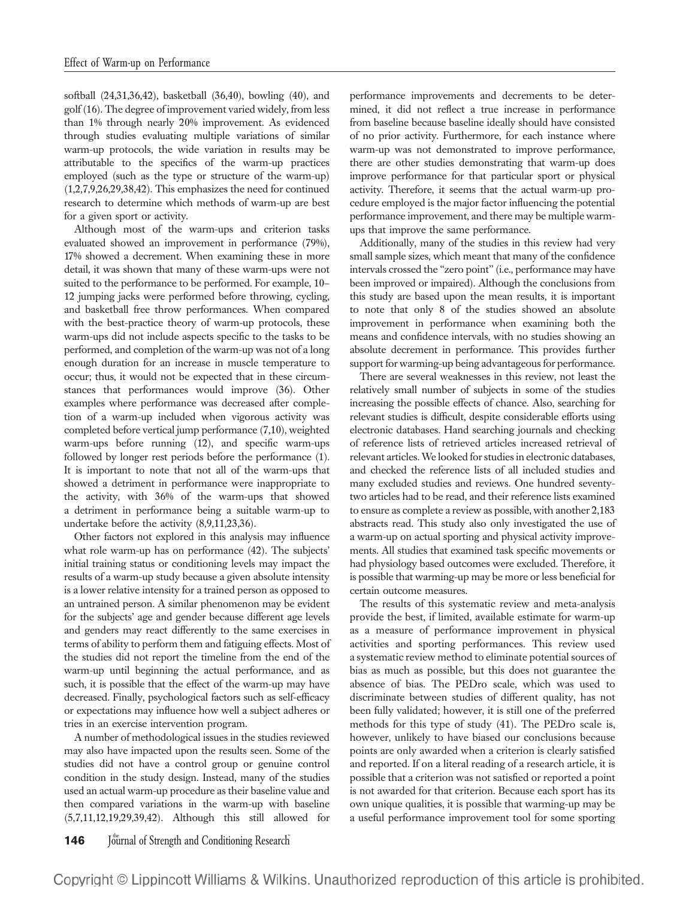softball (24,31,36,42), basketball (36,40), bowling (40), and golf (16). The degree of improvement varied widely, from less than 1% through nearly 20% improvement. As evidenced through studies evaluating multiple variations of similar warm-up protocols, the wide variation in results may be attributable to the specifics of the warm-up practices employed (such as the type or structure of the warm-up) (1,2,7,9,26,29,38,42). This emphasizes the need for continued research to determine which methods of warm-up are best for a given sport or activity.

Although most of the warm-ups and criterion tasks evaluated showed an improvement in performance (79%), 17% showed a decrement. When examining these in more detail, it was shown that many of these warm-ups were not suited to the performance to be performed. For example, 10– 12 jumping jacks were performed before throwing, cycling, and basketball free throw performances. When compared with the best-practice theory of warm-up protocols, these warm-ups did not include aspects specific to the tasks to be performed, and completion of the warm-up was not of a long enough duration for an increase in muscle temperature to occur; thus, it would not be expected that in these circumstances that performances would improve (36). Other examples where performance was decreased after completion of a warm-up included when vigorous activity was completed before vertical jump performance (7,10), weighted warm-ups before running (12), and specific warm-ups followed by longer rest periods before the performance (1). It is important to note that not all of the warm-ups that showed a detriment in performance were inappropriate to the activity, with 36% of the warm-ups that showed a detriment in performance being a suitable warm-up to undertake before the activity (8,9,11,23,36).

Other factors not explored in this analysis may influence what role warm-up has on performance (42). The subjects' initial training status or conditioning levels may impact the results of a warm-up study because a given absolute intensity is a lower relative intensity for a trained person as opposed to an untrained person. A similar phenomenon may be evident for the subjects' age and gender because different age levels and genders may react differently to the same exercises in terms of ability to perform them and fatiguing effects. Most of the studies did not report the timeline from the end of the warm-up until beginning the actual performance, and as such, it is possible that the effect of the warm-up may have decreased. Finally, psychological factors such as self-efficacy or expectations may influence how well a subject adheres or tries in an exercise intervention program.

A number of methodological issues in the studies reviewed may also have impacted upon the results seen. Some of the studies did not have a control group or genuine control condition in the study design. Instead, many of the studies used an actual warm-up procedure as their baseline value and then compared variations in the warm-up with baseline (5,7,11,12,19,29,39,42). Although this still allowed for performance improvements and decrements to be determined, it did not reflect a true increase in performance from baseline because baseline ideally should have consisted of no prior activity. Furthermore, for each instance where warm-up was not demonstrated to improve performance, there are other studies demonstrating that warm-up does improve performance for that particular sport or physical activity. Therefore, it seems that the actual warm-up procedure employed is the major factor influencing the potential performance improvement, and there may be multiple warmups that improve the same performance.

Additionally, many of the studies in this review had very small sample sizes, which meant that many of the confidence intervals crossed the ''zero point'' (i.e., performance may have been improved or impaired). Although the conclusions from this study are based upon the mean results, it is important to note that only 8 of the studies showed an absolute improvement in performance when examining both the means and confidence intervals, with no studies showing an absolute decrement in performance. This provides further support for warming-up being advantageous for performance.

There are several weaknesses in this review, not least the relatively small number of subjects in some of the studies increasing the possible effects of chance. Also, searching for relevant studies is difficult, despite considerable efforts using electronic databases. Hand searching journals and checking of reference lists of retrieved articles increased retrieval of relevant articles. We looked for studies in electronic databases, and checked the reference lists of all included studies and many excluded studies and reviews. One hundred seventytwo articles had to be read, and their reference lists examined to ensure as complete a review as possible, with another 2,183 abstracts read. This study also only investigated the use of a warm-up on actual sporting and physical activity improvements. All studies that examined task specific movements or had physiology based outcomes were excluded. Therefore, it is possible that warming-up may be more or less beneficial for certain outcome measures.

The results of this systematic review and meta-analysis provide the best, if limited, available estimate for warm-up as a measure of performance improvement in physical activities and sporting performances. This review used a systematic review method to eliminate potential sources of bias as much as possible, but this does not guarantee the absence of bias. The PEDro scale, which was used to discriminate between studies of different quality, has not been fully validated; however, it is still one of the preferred methods for this type of study (41). The PEDro scale is, however, unlikely to have biased our conclusions because points are only awarded when a criterion is clearly satisfied and reported. If on a literal reading of a research article, it is possible that a criterion was not satisfied or reported a point is not awarded for that criterion. Because each sport has its own unique qualities, it is possible that warming-up may be a useful performance improvement tool for some sporting

**146** Journal of Strength and Conditioning Research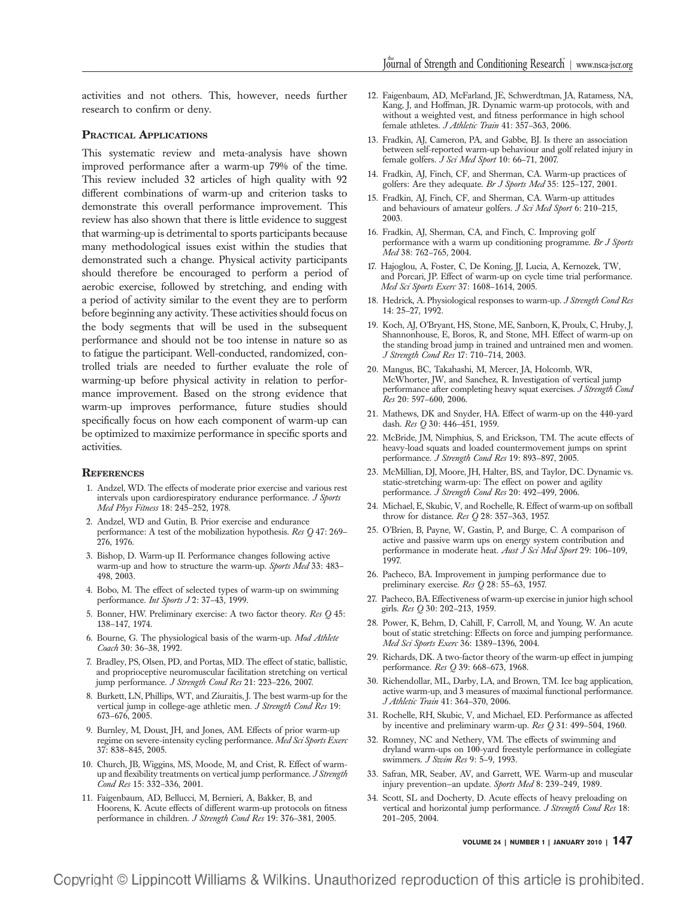activities and not others. This, however, needs further research to confirm or deny.

#### PRACTICAL APPLICATIONS

This systematic review and meta-analysis have shown improved performance after a warm-up 79% of the time. This review included 32 articles of high quality with 92 different combinations of warm-up and criterion tasks to demonstrate this overall performance improvement. This review has also shown that there is little evidence to suggest that warming-up is detrimental to sports participants because many methodological issues exist within the studies that demonstrated such a change. Physical activity participants should therefore be encouraged to perform a period of aerobic exercise, followed by stretching, and ending with a period of activity similar to the event they are to perform before beginning any activity. These activities should focus on the body segments that will be used in the subsequent performance and should not be too intense in nature so as to fatigue the participant. Well-conducted, randomized, controlled trials are needed to further evaluate the role of warming-up before physical activity in relation to performance improvement. Based on the strong evidence that warm-up improves performance, future studies should specifically focus on how each component of warm-up can be optimized to maximize performance in specific sports and activities.

#### **REFERENCES**

- 1. Andzel, WD. The effects of moderate prior exercise and various rest intervals upon cardiorespiratory endurance performance. J Sports Med Phys Fitness 18: 245–252, 1978.
- 2. Andzel, WD and Gutin, B. Prior exercise and endurance performance: A test of the mobilization hypothesis. Res Q 47: 269– 276, 1976.
- 3. Bishop, D. Warm-up II. Performance changes following active warm-up and how to structure the warm-up. Sports Med 33: 483-498, 2003.
- 4. Bobo, M. The effect of selected types of warm-up on swimming performance. Int Sports J 2: 37-43, 1999.
- 5. Bonner, HW. Preliminary exercise: A two factor theory. Res Q 45: 138–147, 1974.
- 6. Bourne, G. The physiological basis of the warm-up. Mod Athlete Coach 30: 36-38, 1992.
- 7. Bradley, PS, Olsen, PD, and Portas, MD. The effect of static, ballistic, and proprioceptive neuromuscular facilitation stretching on vertical jump performance. J Strength Cond Res 21: 223-226, 2007.
- 8. Burkett, LN, Phillips, WT, and Ziuraitis, J. The best warm-up for the vertical jump in college-age athletic men. J Strength Cond Res 19: 673–676, 2005.
- 9. Burnley, M, Doust, JH, and Jones, AM. Effects of prior warm-up regime on severe-intensity cycling performance. Med Sci Sports Exerc 37: 838–845, 2005.
- 10. Church, JB, Wiggins, MS, Moode, M, and Crist, R. Effect of warmup and flexibility treatments on vertical jump performance. J Strength Cond Res 15: 332–336, 2001.
- 11. Faigenbaum, AD, Bellucci, M, Bernieri, A, Bakker, B, and Hoorens, K. Acute effects of different warm-up protocols on fitness performance in children. J Strength Cond Res 19: 376–381, 2005.
- 12. Faigenbaum, AD, McFarland, JE, Schwerdtman, JA, Ratamess, NA, Kang, J, and Hoffman, JR. Dynamic warm-up protocols, with and without a weighted vest, and fitness performance in high school female athletes. J Athletic Train 41: 357-363, 2006.
- 13. Fradkin, AJ, Cameron, PA, and Gabbe, BJ. Is there an association between self-reported warm-up behaviour and golf related injury in female golfers. J Sci Med Sport 10: 66–71, 2007.
- 14. Fradkin, AJ, Finch, CF, and Sherman, CA. Warm-up practices of golfers: Are they adequate. Br J Sports Med 35: 125-127, 2001.
- 15. Fradkin, AJ, Finch, CF, and Sherman, CA. Warm-up attitudes and behaviours of amateur golfers. J Sci Med Sport 6: 210-215, 2003.
- 16. Fradkin, AJ, Sherman, CA, and Finch, C. Improving golf performance with a warm up conditioning programme. Br J Sports Med 38: 762–765, 2004.
- 17. Hajoglou, A, Foster, C, De Koning, JJ, Lucia, A, Kernozek, TW, and Porcari, JP. Effect of warm-up on cycle time trial performance. Med Sci Sports Exerc 37: 1608–1614, 2005.
- 18. Hedrick, A. Physiological responses to warm-up. J Strength Cond Res 14: 25–27, 1992.
- 19. Koch, AJ, O'Bryant, HS, Stone, ME, Sanborn, K, Proulx, C, Hruby, J, Shannonhouse, E, Boros, R, and Stone, MH. Effect of warm-up on the standing broad jump in trained and untrained men and women. J Strength Cond Res 17: 710–714, 2003.
- 20. Mangus, BC, Takahashi, M, Mercer, JA, Holcomb, WR, McWhorter, JW, and Sanchez, R. Investigation of vertical jump performance after completing heavy squat exercises. J Strength Cond Res 20: 597–600, 2006.
- 21. Mathews, DK and Snyder, HA. Effect of warm-up on the 440-yard dash. Res Q 30: 446–451, 1959.
- 22. McBride, JM, Nimphius, S, and Erickson, TM. The acute effects of heavy-load squats and loaded countermovement jumps on sprint performance. J Strength Cond Res 19: 893-897, 2005.
- 23. McMillian, DJ, Moore, JH, Halter, BS, and Taylor, DC. Dynamic vs. static-stretching warm-up: The effect on power and agility performance. J Strength Cond Res 20: 492-499, 2006.
- 24. Michael, E, Skubic, V, and Rochelle, R. Effect of warm-up on softball throw for distance. Res Q 28: 357–363, 1957.
- 25. O'Brien, B, Payne, W, Gastin, P, and Burge, C. A comparison of active and passive warm ups on energy system contribution and performance in moderate heat. Aust J Sci Med Sport 29: 106-109, 1997.
- 26. Pacheco, BA. Improvement in jumping performance due to preliminary exercise. Res Q 28: 55–63, 1957.
- 27. Pacheco, BA. Effectiveness of warm-up exercise in junior high school girls. Res Q 30: 202–213, 1959.
- 28. Power, K, Behm, D, Cahill, F, Carroll, M, and Young, W. An acute bout of static stretching: Effects on force and jumping performance. Med Sci Sports Exerc 36: 1389–1396, 2004.
- 29. Richards, DK. A two-factor theory of the warm-up effect in jumping performance. Res Q 39: 668–673, 1968.
- 30. Richendollar, ML, Darby, LA, and Brown, TM. Ice bag application, active warm-up, and 3 measures of maximal functional performance. J Athletic Train 41: 364–370, 2006.
- 31. Rochelle, RH, Skubic, V, and Michael, ED. Performance as affected by incentive and preliminary warm-up. Res Q 31: 499–504, 1960.
- 32. Romney, NC and Nethery, VM. The effects of swimming and dryland warm-ups on 100-yard freestyle performance in collegiate swimmers. J Swim Res 9: 5–9, 1993.
- 33. Safran, MR, Seaber, AV, and Garrett, WE. Warm-up and muscular injury prevention-an update. Sports Med 8: 239-249, 1989.
- 34. Scott, SL and Docherty, D. Acute effects of heavy preloading on vertical and horizontal jump performance. J Strength Cond Res 18: 201–205, 2004.

VOLUME 24 | NUMBER 1 | JANUARY 2010 | 147